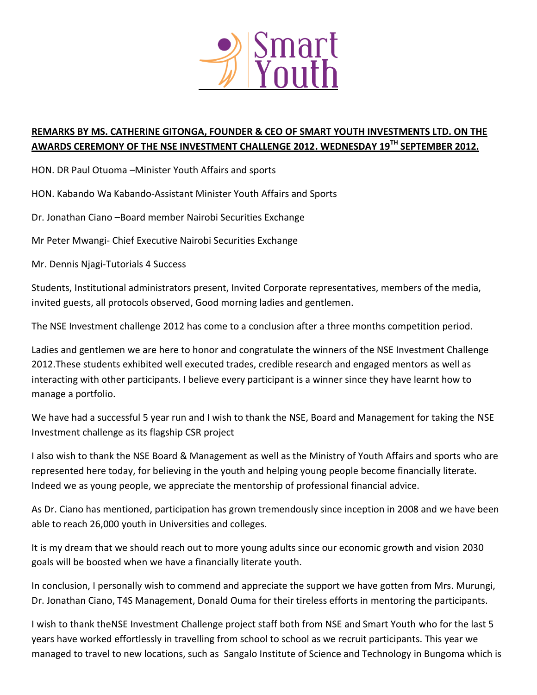

## **REMARKS BY MS. CATHERINE GITONGA, FOUNDER & CEO OF SMART YOUTH INVESTMENTS LTD. ON THE AWARDS CEREMONY OF THE NSE INVESTMENT CHALLENGE 2012. WEDNESDAY 19TH SEPTEMBER 2012.**

HON. DR Paul Otuoma –Minister Youth Affairs and sports

HON. Kabando Wa Kabando-Assistant Minister Youth Affairs and Sports

Dr. Jonathan Ciano –Board member Nairobi Securities Exchange

Mr Peter Mwangi- Chief Executive Nairobi Securities Exchange

Mr. Dennis Njagi-Tutorials 4 Success

Students, Institutional administrators present, Invited Corporate representatives, members of the media, invited guests, all protocols observed, Good morning ladies and gentlemen.

The NSE Investment challenge 2012 has come to a conclusion after a three months competition period.

Ladies and gentlemen we are here to honor and congratulate the winners of the NSE Investment Challenge 2012.These students exhibited well executed trades, credible research and engaged mentors as well as interacting with other participants. I believe every participant is a winner since they have learnt how to manage a portfolio.

We have had a successful 5 year run and I wish to thank the NSE, Board and Management for taking the NSE Investment challenge as its flagship CSR project

I also wish to thank the NSE Board & Management as well as the Ministry of Youth Affairs and sports who are represented here today, for believing in the youth and helping young people become financially literate. Indeed we as young people, we appreciate the mentorship of professional financial advice.

As Dr. Ciano has mentioned, participation has grown tremendously since inception in 2008 and we have been able to reach 26,000 youth in Universities and colleges.

It is my dream that we should reach out to more young adults since our economic growth and vision 2030 goals will be boosted when we have a financially literate youth.

In conclusion, I personally wish to commend and appreciate the support we have gotten from Mrs. Murungi, Dr. Jonathan Ciano, T4S Management, Donald Ouma for their tireless efforts in mentoring the participants.

I wish to thank theNSE Investment Challenge project staff both from NSE and Smart Youth who for the last 5 years have worked effortlessly in travelling from school to school as we recruit participants. This year we managed to travel to new locations, such as Sangalo Institute of Science and Technology in Bungoma which is